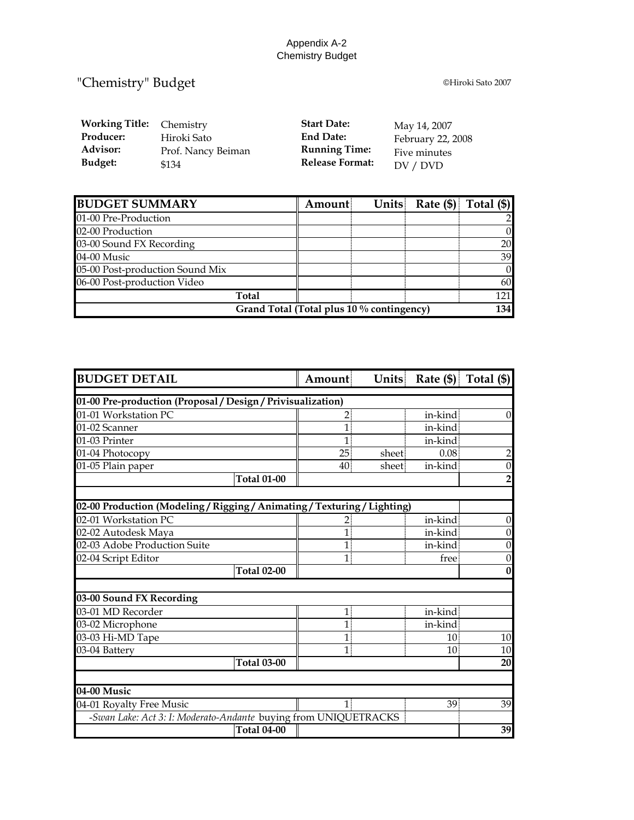## Appendix A-2 Chemistry Budget

## "Chemistry" Budget **Chemistry**  $\frac{1}{2}$

| <b>Working Title:</b> | Chemistry          | <b>Start Date:</b>     | May 14, 2007      |
|-----------------------|--------------------|------------------------|-------------------|
| Producer:             | Hiroki Sato        | <b>End Date:</b>       | February 22, 2008 |
| <b>Advisor:</b>       | Prof. Nancy Beiman | <b>Running Time:</b>   | Five minutes      |
| Budget:               | \$134              | <b>Release Format:</b> | DV / DVD          |

| <b>BUDGET SUMMARY</b>                     | Amount |  |  | Units Rate $(\frac{5}{5})$ Total $(\frac{5}{5})$ |
|-------------------------------------------|--------|--|--|--------------------------------------------------|
| 01-00 Pre-Production                      |        |  |  |                                                  |
| 02-00 Production                          |        |  |  | $\overline{0}$                                   |
| 03-00 Sound FX Recording                  |        |  |  | 20                                               |
| 04-00 Music                               |        |  |  | 39                                               |
| 05-00 Post-production Sound Mix           |        |  |  | $\overline{0}$                                   |
| 06-00 Post-production Video               |        |  |  | 60                                               |
| Total                                     |        |  |  | 121                                              |
| Grand Total (Total plus 10 % contingency) |        |  |  |                                                  |

| <b>BUDGET DETAIL</b>                                             | Amount           |        | Units Rate $(\$)$ Total $(\$)$ |                  |
|------------------------------------------------------------------|------------------|--------|--------------------------------|------------------|
| 01-00 Pre-production (Proposal / Design / Privisualization)      |                  |        |                                |                  |
| 01-01 Workstation PC                                             | 2:               |        | in-kind                        | $\theta$         |
| 01-02 Scanner                                                    | 1                |        | in-kind                        |                  |
| 01-03 Printer                                                    |                  |        | in-kind                        |                  |
| 01-04 Photocopy                                                  | 25 <sup>1</sup>  | sheet: | 0.08                           | $\overline{c}$   |
| 01-05 Plain paper                                                | 40               | sheet. | in-kind                        | $\boldsymbol{0}$ |
| <b>Total 01-00</b>                                               |                  |        |                                | 2                |
|                                                                  |                  |        |                                |                  |
| 02-00 Production (Modeling/Rigging/Animating/Texturing/Lighting) |                  |        |                                |                  |
| 02-01 Workstation PC                                             | $\overline{2}$ : |        | in-kind                        | $\boldsymbol{0}$ |
| 02-02 Autodesk Maya                                              | $\mathbf{1}$     |        | in-kind                        | $\theta$         |
| 02-03 Adobe Production Suite                                     | 1                |        | in-kind                        | $\boldsymbol{0}$ |
| 02-04 Script Editor                                              | $\mathbf{1}$     |        | free                           | $\boldsymbol{0}$ |
| <b>Total 02-00</b>                                               |                  |        |                                | $\bf{0}$         |
| 03-00 Sound FX Recording                                         |                  |        |                                |                  |
| 03-01 MD Recorder                                                | 1                |        | in-kind.                       |                  |
| 03-02 Microphone                                                 | $\mathbf{1}$     |        | in-kind                        |                  |
| 03-03 Hi-MD Tape                                                 | 1                |        | 10                             | 10               |
| 03-04 Battery                                                    | $\mathbf{1}$     |        | 10 <sup>1</sup>                | 10               |
| <b>Total 03-00</b>                                               |                  |        |                                | 20               |
|                                                                  |                  |        |                                |                  |
| 04-00 Music                                                      |                  |        |                                |                  |
| 04-01 Royalty Free Music                                         | $\mathbf{1}$     |        | 39.                            | 39               |
| -Swan Lake: Act 3: I: Moderato-Andante buying from UNIQUETRACKS  |                  |        |                                |                  |
| <b>Total 04-00</b>                                               |                  |        |                                | 39               |